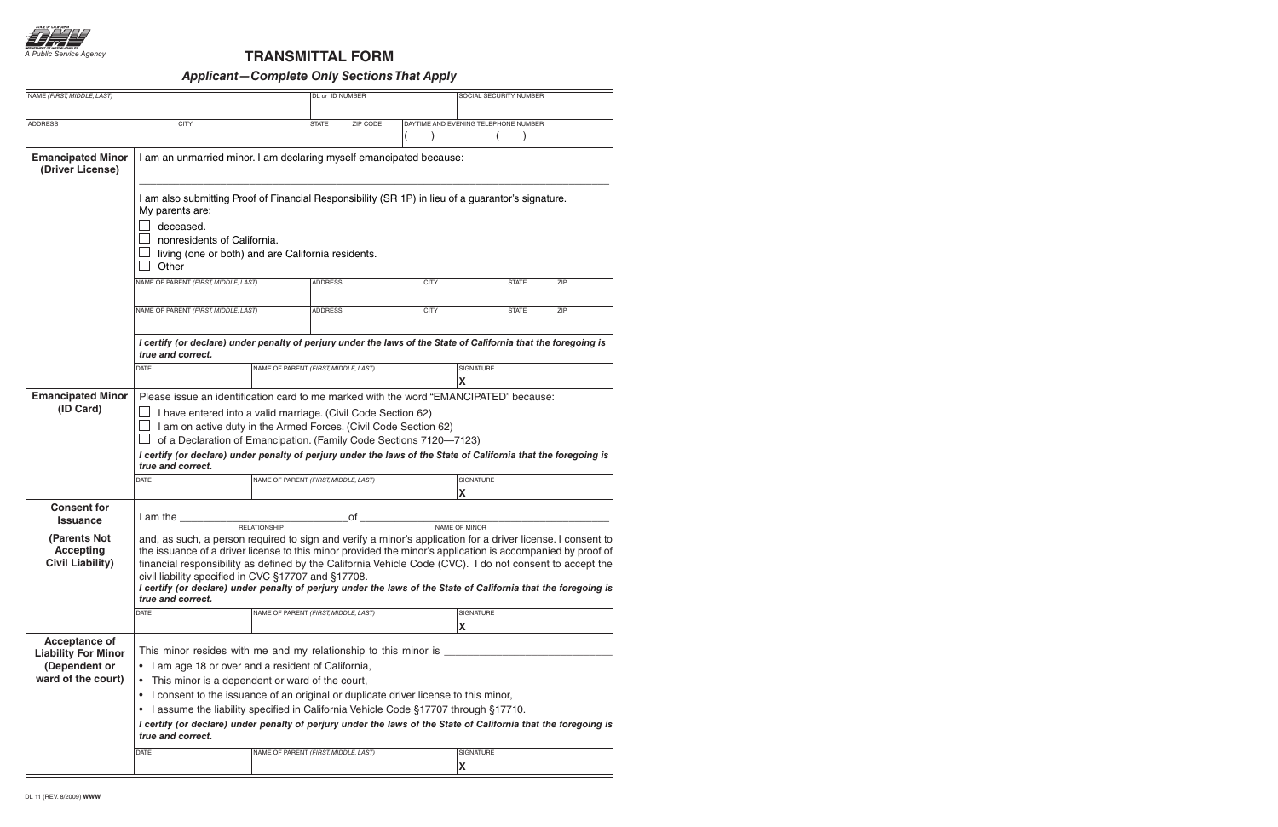

## **TRANSMITTAL FORM**

## **Applicant—Complete Only Sections That Apply**

| NAME (FIRST, MIDDLE, LAST)                                                                |                                                                                                                                                                                                                                                                                                                                                                                                                                                                                                                                                                              |                                      | DL or ID NUMBER |          |             | SOCIAL SECURITY NUMBER               |            |  |  |  |
|-------------------------------------------------------------------------------------------|------------------------------------------------------------------------------------------------------------------------------------------------------------------------------------------------------------------------------------------------------------------------------------------------------------------------------------------------------------------------------------------------------------------------------------------------------------------------------------------------------------------------------------------------------------------------------|--------------------------------------|-----------------|----------|-------------|--------------------------------------|------------|--|--|--|
|                                                                                           |                                                                                                                                                                                                                                                                                                                                                                                                                                                                                                                                                                              |                                      |                 |          |             |                                      |            |  |  |  |
| <b>ADDRESS</b>                                                                            | <b>CITY</b>                                                                                                                                                                                                                                                                                                                                                                                                                                                                                                                                                                  |                                      | <b>STATE</b>    | ZIP CODE |             | DAYTIME AND EVENING TELEPHONE NUMBER |            |  |  |  |
| <b>Emancipated Minor</b><br>(Driver License)                                              | I am an unmarried minor. I am declaring myself emancipated because:                                                                                                                                                                                                                                                                                                                                                                                                                                                                                                          |                                      |                 |          |             |                                      |            |  |  |  |
|                                                                                           | I am also submitting Proof of Financial Responsibility (SR 1P) in lieu of a guarantor's signature.<br>My parents are:<br>deceased.<br>nonresidents of California.<br>living (one or both) and are California residents.<br>Other                                                                                                                                                                                                                                                                                                                                             |                                      |                 |          |             |                                      |            |  |  |  |
|                                                                                           | NAME OF PARENT (FIRST, MIDDLE, LAST)                                                                                                                                                                                                                                                                                                                                                                                                                                                                                                                                         |                                      | <b>ADDRESS</b>  |          | <b>CITY</b> | <b>STATE</b>                         | <b>ZIP</b> |  |  |  |
|                                                                                           | NAME OF PARENT (FIRST, MIDDLE, LAST)                                                                                                                                                                                                                                                                                                                                                                                                                                                                                                                                         |                                      | <b>ADDRESS</b>  |          | <b>CITY</b> | <b>STATE</b>                         | ZIP        |  |  |  |
|                                                                                           | I certify (or declare) under penalty of perjury under the laws of the State of California that the foregoing is<br>true and correct.                                                                                                                                                                                                                                                                                                                                                                                                                                         |                                      |                 |          |             |                                      |            |  |  |  |
|                                                                                           | <b>DATE</b>                                                                                                                                                                                                                                                                                                                                                                                                                                                                                                                                                                  | NAME OF PARENT (FIRST, MIDDLE, LAST) |                 |          |             | SIGNATURE<br>x                       |            |  |  |  |
| <b>Emancipated Minor</b><br>(ID Card)                                                     | Please issue an identification card to me marked with the word "EMANCIPATED" because:<br>I have entered into a valid marriage. (Civil Code Section 62)<br>I am on active duty in the Armed Forces. (Civil Code Section 62)<br>of a Declaration of Emancipation. (Family Code Sections 7120-7123)<br>I certify (or declare) under penalty of perjury under the laws of the State of California that the foregoing is<br>true and correct.                                                                                                                                     |                                      |                 |          |             |                                      |            |  |  |  |
|                                                                                           | <b>DATE</b>                                                                                                                                                                                                                                                                                                                                                                                                                                                                                                                                                                  | NAME OF PARENT (FIRST, MIDDLE, LAST) |                 |          |             | SIGNATURE<br>x                       |            |  |  |  |
| <b>Consent for</b><br><b>Issuance</b>                                                     | I am the                                                                                                                                                                                                                                                                                                                                                                                                                                                                                                                                                                     |                                      |                 | 0f       |             |                                      |            |  |  |  |
| (Parents Not<br><b>Accepting</b><br><b>Civil Liability)</b>                               | <b>RELATIONSHIP</b><br>NAME OF MINOR<br>and, as such, a person required to sign and verify a minor's application for a driver license. I consent to<br>the issuance of a driver license to this minor provided the minor's application is accompanied by proof of<br>financial responsibility as defined by the California Vehicle Code (CVC). I do not consent to accept the<br>civil liability specified in CVC §17707 and §17708.<br>I certify (or declare) under penalty of perjury under the laws of the State of California that the foregoing is<br>true and correct. |                                      |                 |          |             |                                      |            |  |  |  |
|                                                                                           | <b>DATE</b>                                                                                                                                                                                                                                                                                                                                                                                                                                                                                                                                                                  | NAME OF PARENT (FIRST, MIDDLE, LAST) |                 |          |             | SIGNATURE<br>X                       |            |  |  |  |
| <b>Acceptance of</b><br><b>Liability For Minor</b><br>(Dependent or<br>ward of the court) | This minor resides with me and my relationship to this minor is ____<br>• I am age 18 or over and a resident of California,<br>This minor is a dependent or ward of the court,<br>$\bullet$<br>I consent to the issuance of an original or duplicate driver license to this minor,<br>$\bullet$<br>I assume the liability specified in California Vehicle Code §17707 through §17710.<br>$\bullet$<br>I certify (or declare) under penalty of perjury under the laws of the State of California that the foregoing is<br>true and correct.                                   |                                      |                 |          |             |                                      |            |  |  |  |
|                                                                                           | <b>DATE</b>                                                                                                                                                                                                                                                                                                                                                                                                                                                                                                                                                                  | NAME OF PARENT (FIRST, MIDDLE, LAST) |                 |          |             | SIGNATURE<br>X                       |            |  |  |  |